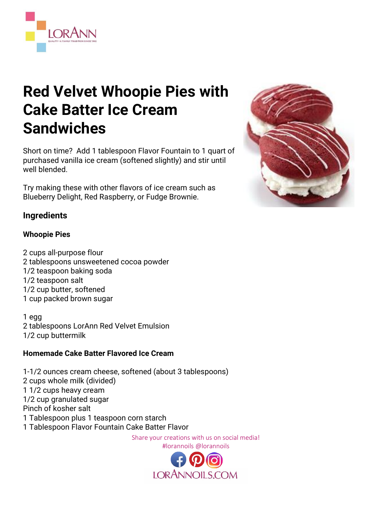

# **Red Velvet Whoopie Pies with Cake Batter Ice Cream Sandwiches**

Short on time? Add 1 tablespoon Flavor Fountain to 1 quart of purchased vanilla ice cream (softened slightly) and stir until well blended.

Try making these with other flavors of ice cream such as Blueberry Delight, Red Raspberry, or Fudge Brownie.



## **Whoopie Pies**

2 cups all-purpose flour 2 tablespoons unsweetened cocoa powder 1/2 teaspoon baking soda 1/2 teaspoon salt 1/2 cup butter, softened 1 cup packed brown sugar

1 egg 2 tablespoons LorAnn Red Velvet Emulsion 1/2 cup buttermilk

## **Homemade Cake Batter Flavored Ice Cream**

1-1/2 ounces cream cheese, softened (about 3 tablespoons) 2 cups whole milk (divided) 1 1/2 cups heavy cream 1/2 cup granulated sugar Pinch of kosher salt 1 Tablespoon plus 1 teaspoon corn starch 1 Tablespoon Flavor Fountain Cake Batter Flavor

Share your creations with us on social media! #lorannoils @lorannoils